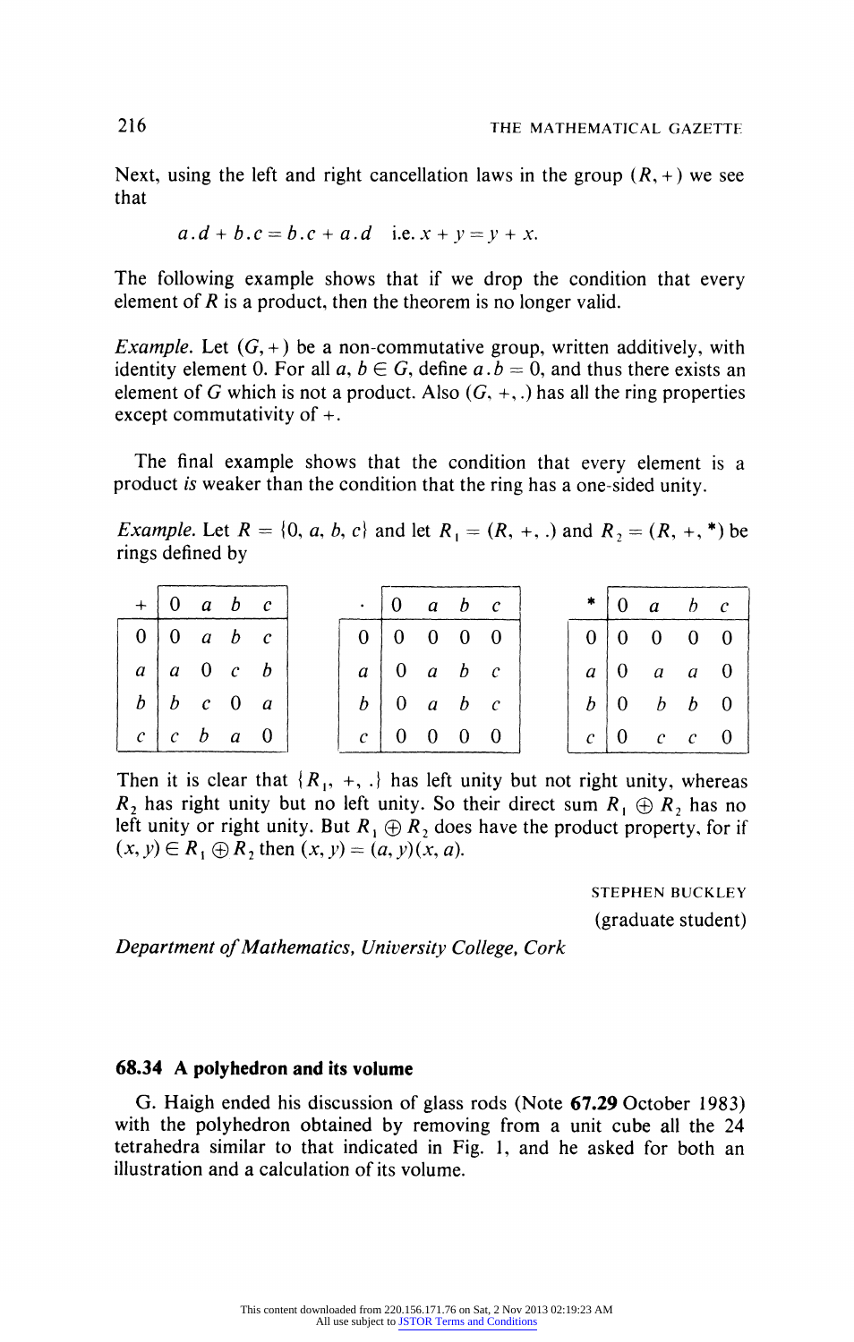## **68.34 A polyhedron and its volume**

**G. Haigh ended his discussion of glass rods (Note 67.29 October 1983) with the polyhedron obtained by removing from a unit cube all the 24 tetrahedra similar to that indicated in Fig. 1, and he asked for both an illustration and a calculation of its volume.**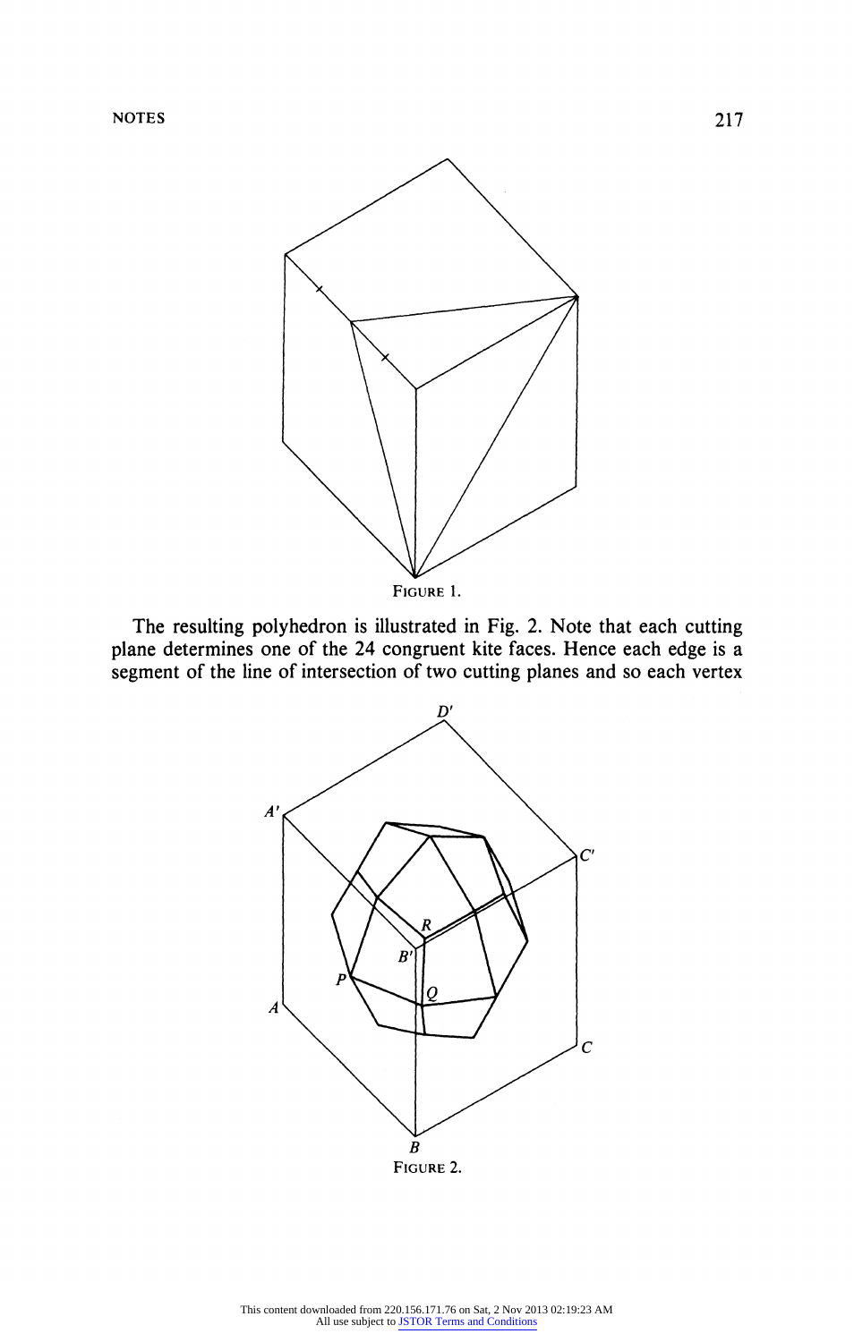

**FIGURE 1.** 

**The resulting polyhedron is illustrated in Fig. 2. Note that each cutting plane determines one of the 24 congruent kite faces. Hence each edge is a segment of the line of intersection of two cutting planes and so each vertex** 



**FIGURE 2.**